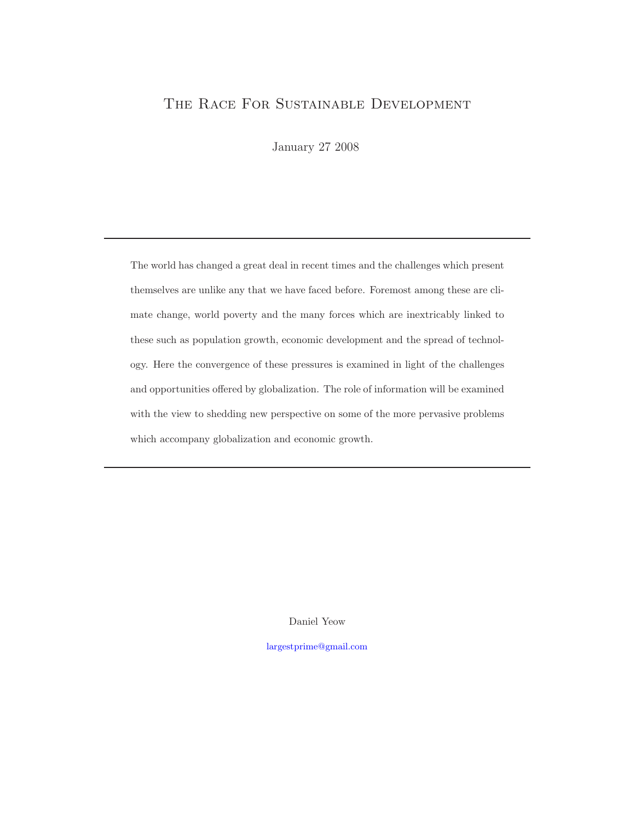## THE RACE FOR SUSTAINABLE DEVELOPMENT

January 27 2008

The world has changed a great deal in recent times and the challenges which present themselves are unlike any that we have faced before. Foremost among these are climate change, world poverty and the many forces which are inextricably linked to these such as population growth, economic development and the spread of technology. Here the convergence of these pressures is examined in light of the challenges and opportunities offered by globalization. The role of information will be examined with the view to shedding new perspective on some of the more pervasive problems which accompany globalization and economic growth.

Daniel Yeow

largestprime@gmail.com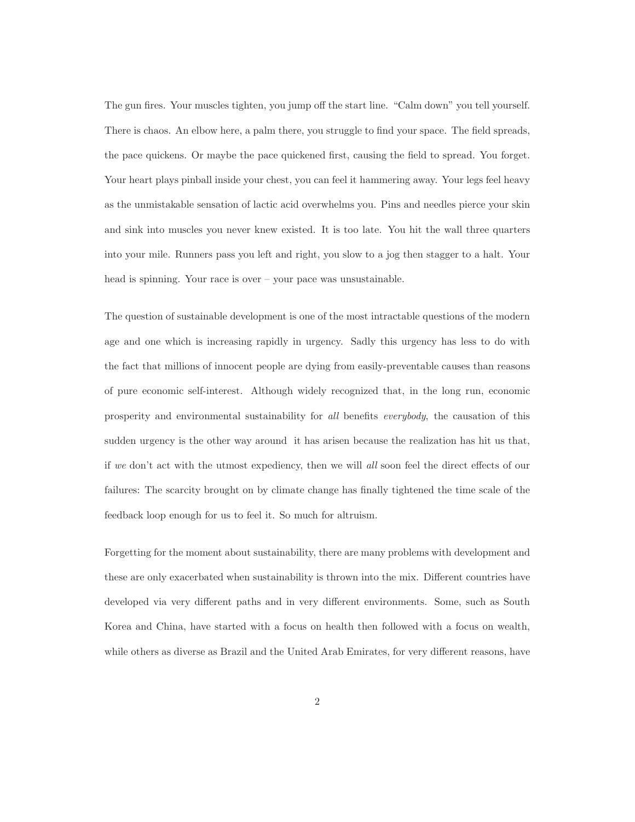The gun fires. Your muscles tighten, you jump off the start line. "Calm down" you tell yourself. There is chaos. An elbow here, a palm there, you struggle to find your space. The field spreads, the pace quickens. Or maybe the pace quickened first, causing the field to spread. You forget. Your heart plays pinball inside your chest, you can feel it hammering away. Your legs feel heavy as the unmistakable sensation of lactic acid overwhelms you. Pins and needles pierce your skin and sink into muscles you never knew existed. It is too late. You hit the wall three quarters into your mile. Runners pass you left and right, you slow to a jog then stagger to a halt. Your head is spinning. Your race is over – your pace was unsustainable.

The question of sustainable development is one of the most intractable questions of the modern age and one which is increasing rapidly in urgency. Sadly this urgency has less to do with the fact that millions of innocent people are dying from easily-preventable causes than reasons of pure economic self-interest. Although widely recognized that, in the long run, economic prosperity and environmental sustainability for all benefits everybody, the causation of this sudden urgency is the other way around it has arisen because the realization has hit us that, if we don't act with the utmost expediency, then we will all soon feel the direct effects of our failures: The scarcity brought on by climate change has finally tightened the time scale of the feedback loop enough for us to feel it. So much for altruism.

Forgetting for the moment about sustainability, there are many problems with development and these are only exacerbated when sustainability is thrown into the mix. Different countries have developed via very different paths and in very different environments. Some, such as South Korea and China, have started with a focus on health then followed with a focus on wealth, while others as diverse as Brazil and the United Arab Emirates, for very different reasons, have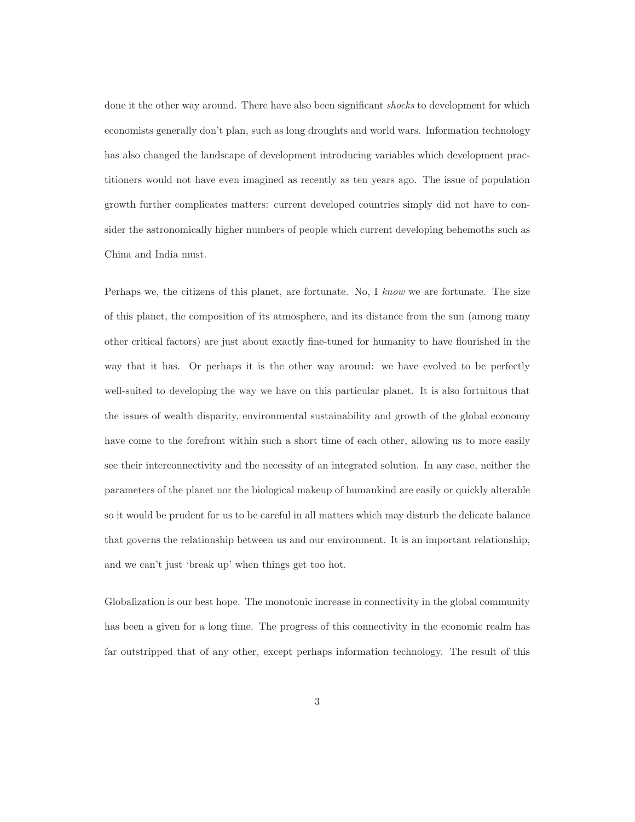done it the other way around. There have also been significant *shocks* to development for which economists generally don't plan, such as long droughts and world wars. Information technology has also changed the landscape of development introducing variables which development practitioners would not have even imagined as recently as ten years ago. The issue of population growth further complicates matters: current developed countries simply did not have to consider the astronomically higher numbers of people which current developing behemoths such as China and India must.

Perhaps we, the citizens of this planet, are fortunate. No, I know we are fortunate. The size of this planet, the composition of its atmosphere, and its distance from the sun (among many other critical factors) are just about exactly fine-tuned for humanity to have flourished in the way that it has. Or perhaps it is the other way around: we have evolved to be perfectly well-suited to developing the way we have on this particular planet. It is also fortuitous that the issues of wealth disparity, environmental sustainability and growth of the global economy have come to the forefront within such a short time of each other, allowing us to more easily see their interconnectivity and the necessity of an integrated solution. In any case, neither the parameters of the planet nor the biological makeup of humankind are easily or quickly alterable so it would be prudent for us to be careful in all matters which may disturb the delicate balance that governs the relationship between us and our environment. It is an important relationship, and we can't just 'break up' when things get too hot.

Globalization is our best hope. The monotonic increase in connectivity in the global community has been a given for a long time. The progress of this connectivity in the economic realm has far outstripped that of any other, except perhaps information technology. The result of this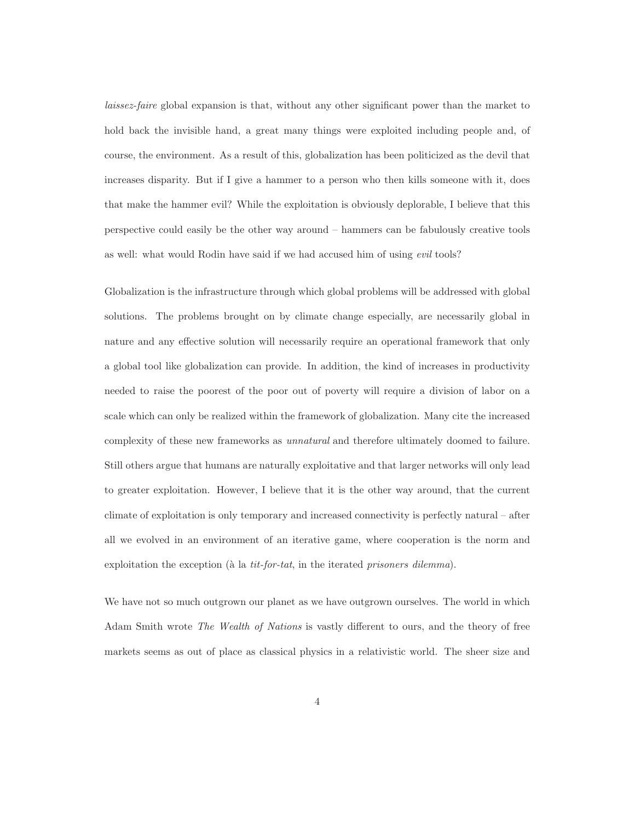laissez-faire global expansion is that, without any other significant power than the market to hold back the invisible hand, a great many things were exploited including people and, of course, the environment. As a result of this, globalization has been politicized as the devil that increases disparity. But if I give a hammer to a person who then kills someone with it, does that make the hammer evil? While the exploitation is obviously deplorable, I believe that this perspective could easily be the other way around – hammers can be fabulously creative tools as well: what would Rodin have said if we had accused him of using evil tools?

Globalization is the infrastructure through which global problems will be addressed with global solutions. The problems brought on by climate change especially, are necessarily global in nature and any effective solution will necessarily require an operational framework that only a global tool like globalization can provide. In addition, the kind of increases in productivity needed to raise the poorest of the poor out of poverty will require a division of labor on a scale which can only be realized within the framework of globalization. Many cite the increased complexity of these new frameworks as unnatural and therefore ultimately doomed to failure. Still others argue that humans are naturally exploitative and that larger networks will only lead to greater exploitation. However, I believe that it is the other way around, that the current climate of exploitation is only temporary and increased connectivity is perfectly natural – after all we evolved in an environment of an iterative game, where cooperation is the norm and exploitation the exception ( $\hat{a}$  la tit-for-tat, in the iterated prisoners dilemma).

We have not so much outgrown our planet as we have outgrown ourselves. The world in which Adam Smith wrote The Wealth of Nations is vastly different to ours, and the theory of free markets seems as out of place as classical physics in a relativistic world. The sheer size and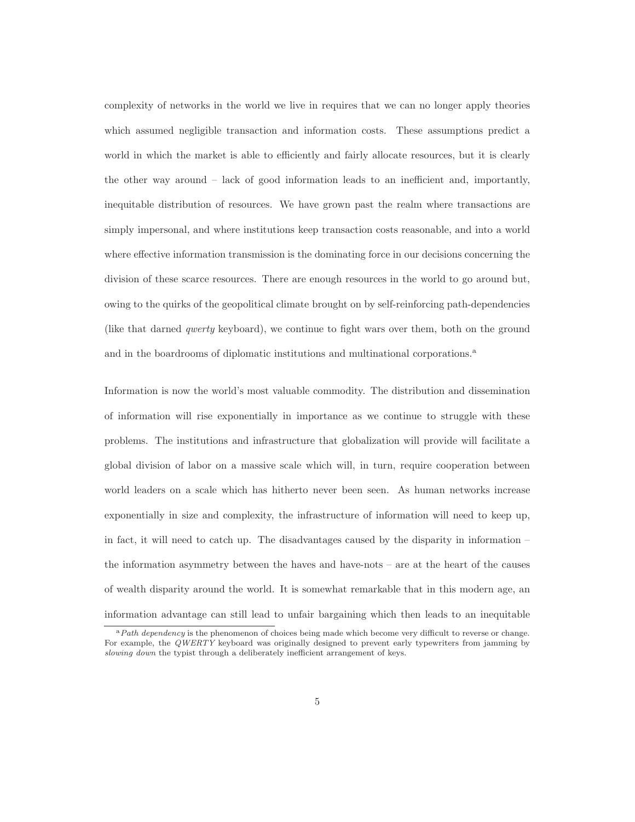complexity of networks in the world we live in requires that we can no longer apply theories which assumed negligible transaction and information costs. These assumptions predict a world in which the market is able to efficiently and fairly allocate resources, but it is clearly the other way around – lack of good information leads to an inefficient and, importantly, inequitable distribution of resources. We have grown past the realm where transactions are simply impersonal, and where institutions keep transaction costs reasonable, and into a world where effective information transmission is the dominating force in our decisions concerning the division of these scarce resources. There are enough resources in the world to go around but, owing to the quirks of the geopolitical climate brought on by self-reinforcing path-dependencies (like that darned qwerty keyboard), we continue to fight wars over them, both on the ground and in the boardrooms of diplomatic institutions and multinational corporations.<sup>a</sup>

Information is now the world's most valuable commodity. The distribution and dissemination of information will rise exponentially in importance as we continue to struggle with these problems. The institutions and infrastructure that globalization will provide will facilitate a global division of labor on a massive scale which will, in turn, require cooperation between world leaders on a scale which has hitherto never been seen. As human networks increase exponentially in size and complexity, the infrastructure of information will need to keep up, in fact, it will need to catch up. The disadvantages caused by the disparity in information  $$ the information asymmetry between the haves and have-nots – are at the heart of the causes of wealth disparity around the world. It is somewhat remarkable that in this modern age, an information advantage can still lead to unfair bargaining which then leads to an inequitable

 $aPath$  dependency is the phenomenon of choices being made which become very difficult to reverse or change. For example, the QWERTY keyboard was originally designed to prevent early typewriters from jamming by slowing down the typist through a deliberately inefficient arrangement of keys.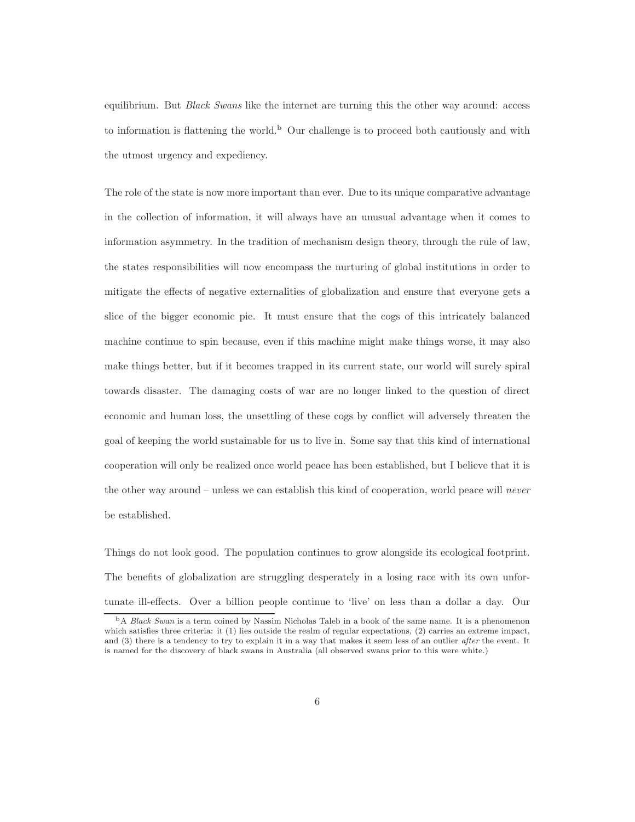equilibrium. But Black Swans like the internet are turning this the other way around: access to information is flattening the world.<sup>b</sup> Our challenge is to proceed both cautiously and with the utmost urgency and expediency.

The role of the state is now more important than ever. Due to its unique comparative advantage in the collection of information, it will always have an unusual advantage when it comes to information asymmetry. In the tradition of mechanism design theory, through the rule of law, the states responsibilities will now encompass the nurturing of global institutions in order to mitigate the effects of negative externalities of globalization and ensure that everyone gets a slice of the bigger economic pie. It must ensure that the cogs of this intricately balanced machine continue to spin because, even if this machine might make things worse, it may also make things better, but if it becomes trapped in its current state, our world will surely spiral towards disaster. The damaging costs of war are no longer linked to the question of direct economic and human loss, the unsettling of these cogs by conflict will adversely threaten the goal of keeping the world sustainable for us to live in. Some say that this kind of international cooperation will only be realized once world peace has been established, but I believe that it is the other way around – unless we can establish this kind of cooperation, world peace will never be established.

Things do not look good. The population continues to grow alongside its ecological footprint. The benefits of globalization are struggling desperately in a losing race with its own unfortunate ill-effects. Over a billion people continue to 'live' on less than a dollar a day. Our

<sup>&</sup>lt;sup>b</sup>A Black Swan is a term coined by Nassim Nicholas Taleb in a book of the same name. It is a phenomenon which satisfies three criteria: it (1) lies outside the realm of regular expectations, (2) carries an extreme impact, and (3) there is a tendency to try to explain it in a way that makes it seem less of an outlier after the event. It is named for the discovery of black swans in Australia (all observed swans prior to this were white.)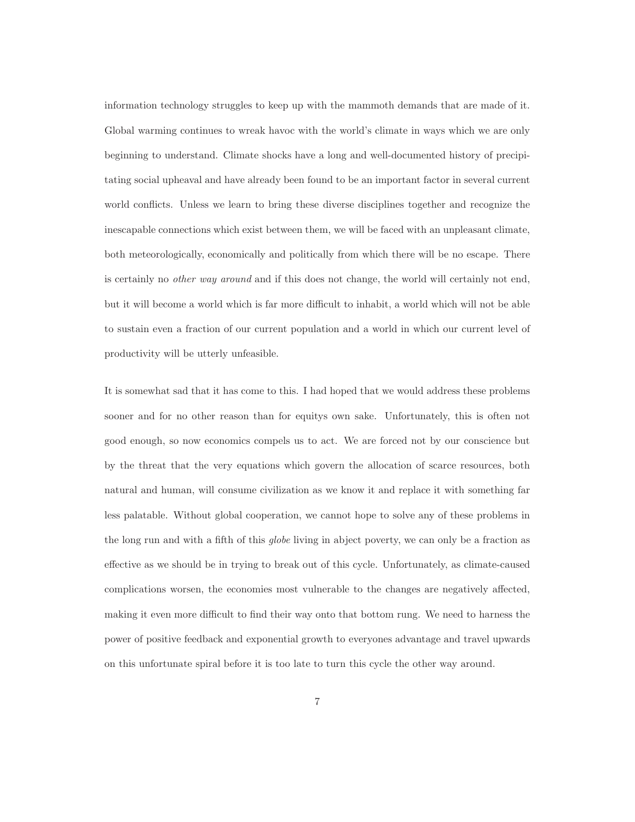information technology struggles to keep up with the mammoth demands that are made of it. Global warming continues to wreak havoc with the world's climate in ways which we are only beginning to understand. Climate shocks have a long and well-documented history of precipitating social upheaval and have already been found to be an important factor in several current world conflicts. Unless we learn to bring these diverse disciplines together and recognize the inescapable connections which exist between them, we will be faced with an unpleasant climate, both meteorologically, economically and politically from which there will be no escape. There is certainly no other way around and if this does not change, the world will certainly not end, but it will become a world which is far more difficult to inhabit, a world which will not be able to sustain even a fraction of our current population and a world in which our current level of productivity will be utterly unfeasible.

It is somewhat sad that it has come to this. I had hoped that we would address these problems sooner and for no other reason than for equitys own sake. Unfortunately, this is often not good enough, so now economics compels us to act. We are forced not by our conscience but by the threat that the very equations which govern the allocation of scarce resources, both natural and human, will consume civilization as we know it and replace it with something far less palatable. Without global cooperation, we cannot hope to solve any of these problems in the long run and with a fifth of this globe living in abject poverty, we can only be a fraction as effective as we should be in trying to break out of this cycle. Unfortunately, as climate-caused complications worsen, the economies most vulnerable to the changes are negatively affected, making it even more difficult to find their way onto that bottom rung. We need to harness the power of positive feedback and exponential growth to everyones advantage and travel upwards on this unfortunate spiral before it is too late to turn this cycle the other way around.